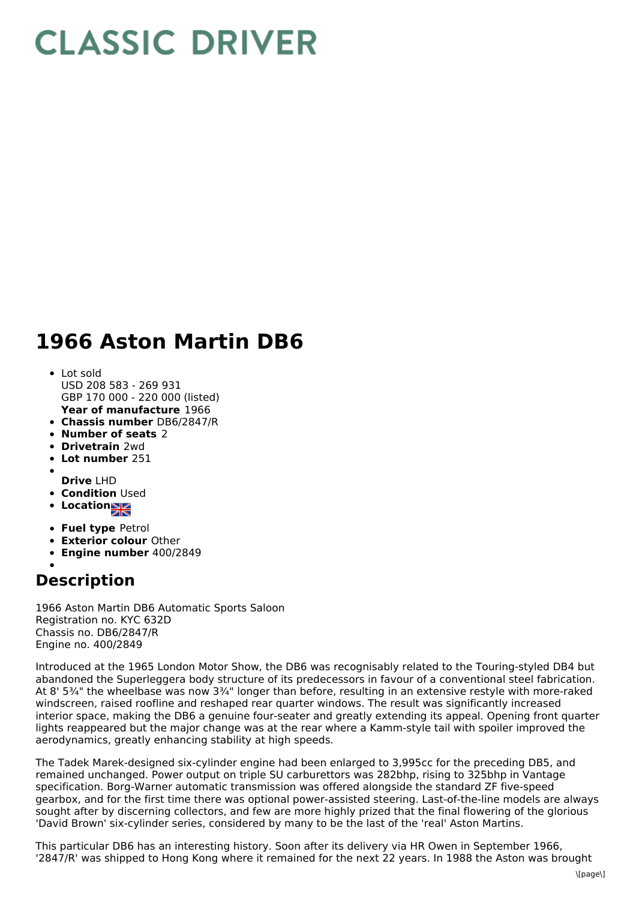## **CLASSIC DRIVER**

## **1966 Aston Martin DB6**

- **Year of manufacture** 1966 Lot sold USD 208 583 - 269 931 GBP 170 000 - 220 000 (listed)
- **Chassis number** DB6/2847/R
- **Number of seats** 2
- **Drivetrain** 2wd
- **Lot number** 251
- 
- **Drive** LHD **• Condition Used**
- 
- **Location**
- **Fuel type** Petrol
- **Exterior colour** Other
- **Engine number** 400/2849

## **Description**

1966 Aston Martin DB6 Automatic Sports Saloon Registration no. KYC 632D Chassis no. DB6/2847/R Engine no. 400/2849

Introduced at the 1965 London Motor Show, the DB6 was recognisably related to the Touring-styled DB4 but abandoned the Superleggera body structure of its predecessors in favour of a conventional steel fabrication. At 8' 5¾" the wheelbase was now 3¾" longer than before, resulting in an extensive restyle with more-raked windscreen, raised roofline and reshaped rear quarter windows. The result was significantly increased interior space, making the DB6 a genuine four-seater and greatly extending its appeal. Opening front quarter lights reappeared but the major change was at the rear where a Kamm-style tail with spoiler improved the aerodynamics, greatly enhancing stability at high speeds.

The Tadek Marek-designed six-cylinder engine had been enlarged to 3,995cc for the preceding DB5, and remained unchanged. Power output on triple SU carburettors was 282bhp, rising to 325bhp in Vantage specification. Borg-Warner automatic transmission was offered alongside the standard ZF five-speed gearbox, and for the first time there was optional power-assisted steering. Last-of-the-line models are always sought after by discerning collectors, and few are more highly prized that the final flowering of the glorious 'David Brown' six-cylinder series, considered by many to be the last of the 'real' Aston Martins.

This particular DB6 has an interesting history. Soon after its delivery via HR Owen in September 1966, '2847/R' was shipped to Hong Kong where it remained for the next 22 years. In 1988 the Aston was brought